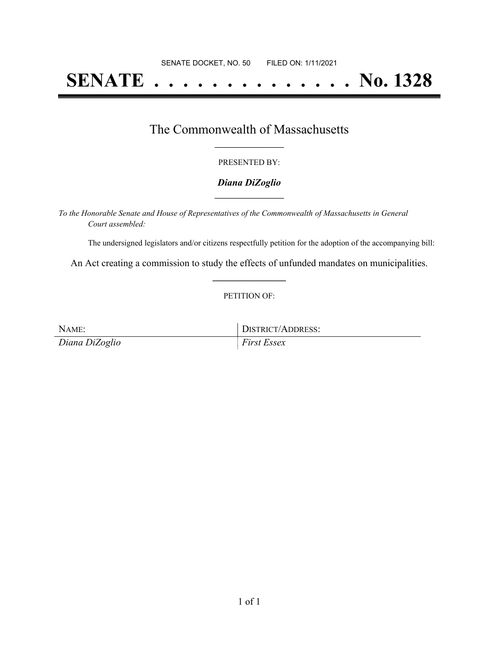# **SENATE . . . . . . . . . . . . . . No. 1328**

# The Commonwealth of Massachusetts **\_\_\_\_\_\_\_\_\_\_\_\_\_\_\_\_\_**

#### PRESENTED BY:

#### *Diana DiZoglio* **\_\_\_\_\_\_\_\_\_\_\_\_\_\_\_\_\_**

*To the Honorable Senate and House of Representatives of the Commonwealth of Massachusetts in General Court assembled:*

The undersigned legislators and/or citizens respectfully petition for the adoption of the accompanying bill:

An Act creating a commission to study the effects of unfunded mandates on municipalities. **\_\_\_\_\_\_\_\_\_\_\_\_\_\_\_**

#### PETITION OF:

| NAME:          | DISTRICT/ADDRESS:  |
|----------------|--------------------|
| Diana DiZoglio | <i>First Essex</i> |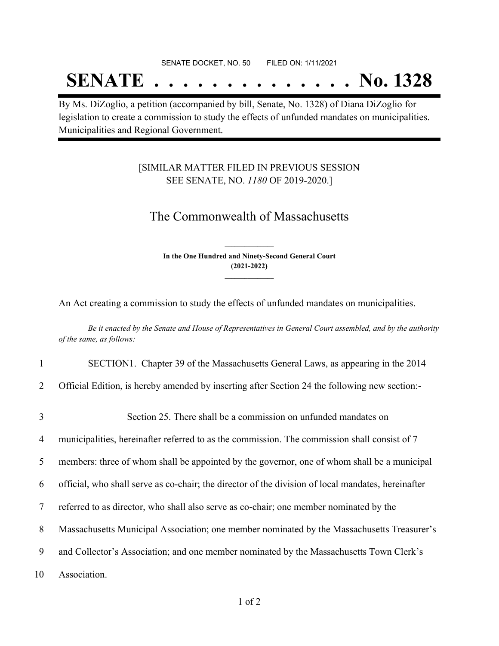#### SENATE DOCKET, NO. 50 FILED ON: 1/11/2021

# **SENATE . . . . . . . . . . . . . . No. 1328**

By Ms. DiZoglio, a petition (accompanied by bill, Senate, No. 1328) of Diana DiZoglio for legislation to create a commission to study the effects of unfunded mandates on municipalities. Municipalities and Regional Government.

### [SIMILAR MATTER FILED IN PREVIOUS SESSION SEE SENATE, NO. *1180* OF 2019-2020.]

## The Commonwealth of Massachusetts

**In the One Hundred and Ninety-Second General Court (2021-2022) \_\_\_\_\_\_\_\_\_\_\_\_\_\_\_**

**\_\_\_\_\_\_\_\_\_\_\_\_\_\_\_**

An Act creating a commission to study the effects of unfunded mandates on municipalities.

Be it enacted by the Senate and House of Representatives in General Court assembled, and by the authority *of the same, as follows:*

1 SECTION1. Chapter 39 of the Massachusetts General Laws, as appearing in the 2014

2 Official Edition, is hereby amended by inserting after Section 24 the following new section:-

3 Section 25. There shall be a commission on unfunded mandates on 4 municipalities, hereinafter referred to as the commission. The commission shall consist of 7 members: three of whom shall be appointed by the governor, one of whom shall be a municipal official, who shall serve as co-chair; the director of the division of local mandates, hereinafter referred to as director, who shall also serve as co-chair; one member nominated by the Massachusetts Municipal Association; one member nominated by the Massachusetts Treasurer's and Collector's Association; and one member nominated by the Massachusetts Town Clerk's Association.

1 of 2